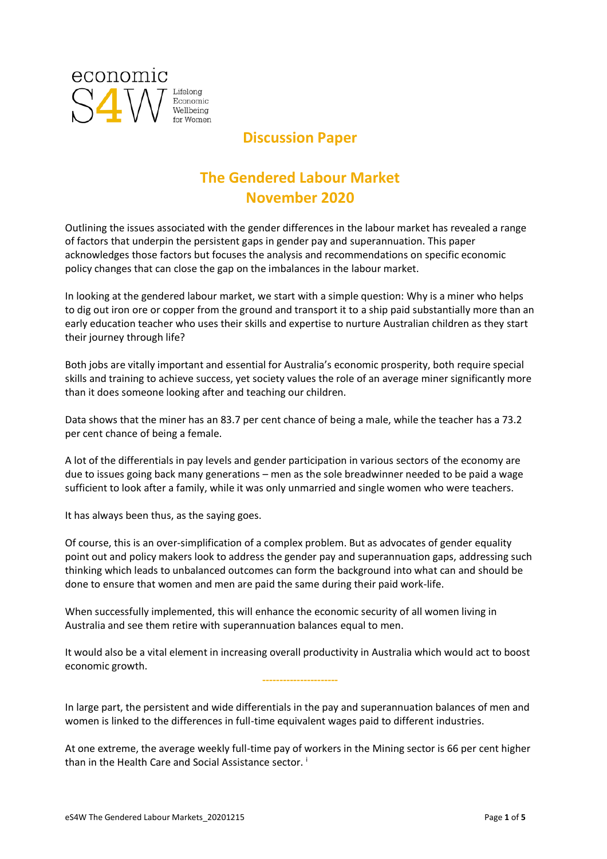

## **Discussion Paper**

# **The Gendered Labour Market November 2020**

Outlining the issues associated with the gender differences in the labour market has revealed a range of factors that underpin the persistent gaps in gender pay and superannuation. This paper acknowledges those factors but focuses the analysis and recommendations on specific economic policy changes that can close the gap on the imbalances in the labour market.

In looking at the gendered labour market, we start with a simple question: Why is a miner who helps to dig out iron ore or copper from the ground and transport it to a ship paid substantially more than an early education teacher who uses their skills and expertise to nurture Australian children as they start their journey through life?

Both jobs are vitally important and essential for Australia's economic prosperity, both require special skills and training to achieve success, yet society values the role of an average miner significantly more than it does someone looking after and teaching our children.

Data shows that the miner has an 83.7 per cent chance of being a male, while the teacher has a 73.2 per cent chance of being a female.

A lot of the differentials in pay levels and gender participation in various sectors of the economy are due to issues going back many generations – men as the sole breadwinner needed to be paid a wage sufficient to look after a family, while it was only unmarried and single women who were teachers.

It has always been thus, as the saying goes.

Of course, this is an over-simplification of a complex problem. But as advocates of gender equality point out and policy makers look to address the gender pay and superannuation gaps, addressing such thinking which leads to unbalanced outcomes can form the background into what can and should be done to ensure that women and men are paid the same during their paid work-life.

When successfully implemented, this will enhance the economic security of all women living in Australia and see them retire with superannuation balances equal to men.

It would also be a vital element in increasing overall productivity in Australia which would act to boost economic growth.

**----------------------**

In large part, the persistent and wide differentials in the pay and superannuation balances of men and women is linked to the differences in full-time equivalent wages paid to different industries.

At one extreme, the average weekly full-time pay of workers in the Mining sector is 66 per cent higher than in the Health Care and Social Assistance sector.<sup>1</sup>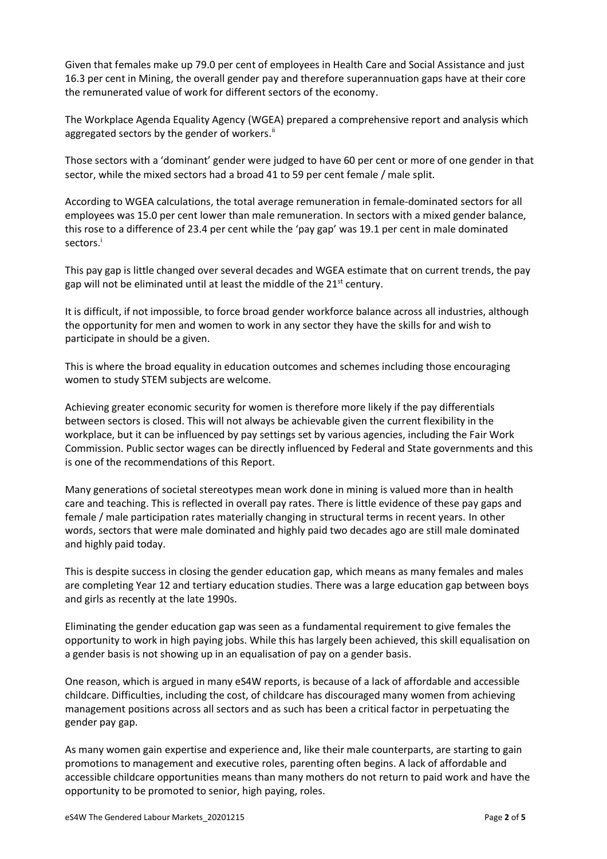Given that females make up 79.0 per cent of employees in Health Care and Social Assistance and just 16.3 per cent in Mining, the overall gender pay and therefore superannuation gaps have at their core the remunerated value of work for different sectors of the economy.

The Workplace Agenda Equality Agency (WGEA) prepared a comprehensive report and analysis which aggregated sectors by the gender of workers.<sup>ii</sup>

Those sectors with a 'dominant' gender were judged to have 60 per cent or more of one gender in that sector, while the mixed sectors had a broad 41 to 59 per cent female / male split.

According to WGEA calculations, the total average remuneration in female-dominated sectors for all employees was 15.0 per cent lower than male remuneration. In sectors with a mixed gender balance, this rose to a difference of 23.4 per cent while the 'pay gap' was 19.1 per cent in male dominated sectors.<sup>i</sup>

This pay gap is little changed over several decades and WGEA estimate that on current trends, the pay gap will not be eliminated until at least the middle of the 21<sup>st</sup> century.

It is difficult, if not impossible, to force broad gender workforce balance across all industries, although the opportunity for men and women to work in any sector they have the skills for and wish to participate in should be a given.

This is where the broad equality in education outcomes and schemes including those encouraging women to study STEM subjects are welcome.

Achieving greater economic security for women is therefore more likely if the pay differentials between sectors is closed. This will not always be achievable given the current flexibility in the workplace, but it can be influenced by pay settings set by various agencies, including the Fair Work Commission. Public sector wages can be directly influenced by Federal and State governments and this is one of the recommendations of this Report.

Many generations of societal stereotypes mean work done in mining is valued more than in health care and teaching. This is reflected in overall pay rates. There is little evidence of these pay gaps and female / male participation rates materially changing in structural terms in recent years. In other words, sectors that were male dominated and highly paid two decades ago are still male dominated and highly paid today.

This is despite success in closing the gender education gap, which means as many females and males are completing Year 12 and tertiary education studies. There was a large education gap between boys and girls as recently at the late 1990s.

Eliminating the gender education gap was seen as a fundamental requirement to give females the opportunity to work in high paying jobs. While this has largely been achieved, this skill equalisation on a gender basis is not showing up in an equalisation of pay on a gender basis.

One reason, which is argued in many eS4W reports, is because of a lack of affordable and accessible childcare. Difficulties, including the cost, of childcare has discouraged many women from achieving management positions across all sectors and as such has been a critical factor in perpetuating the gender pay gap.

As many women gain expertise and experience and, like their male counterparts, are starting to gain promotions to management and executive roles, parenting often begins. A lack of affordable and accessible childcare opportunities means than many mothers do not return to paid work and have the opportunity to be promoted to senior, high paying, roles.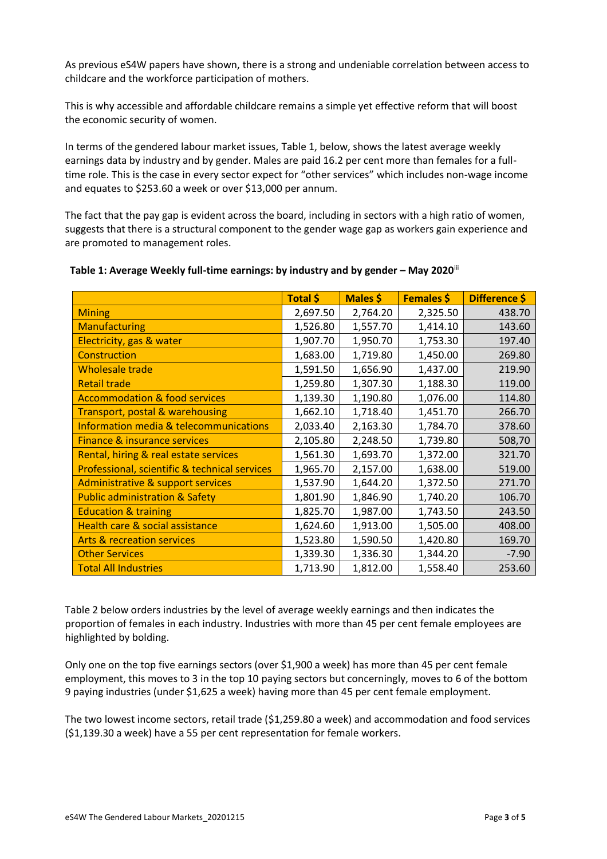As previous eS4W papers have shown, there is a strong and undeniable correlation between access to childcare and the workforce participation of mothers.

This is why accessible and affordable childcare remains a simple yet effective reform that will boost the economic security of women.

In terms of the gendered labour market issues, Table 1, below, shows the latest average weekly earnings data by industry and by gender. Males are paid 16.2 per cent more than females for a fulltime role. This is the case in every sector expect for "other services" which includes non-wage income and equates to \$253.60 a week or over \$13,000 per annum.

The fact that the pay gap is evident across the board, including in sectors with a high ratio of women, suggests that there is a structural component to the gender wage gap as workers gain experience and are promoted to management roles.

|                                               | Total \$ | Males \$ | <b>Females \$</b> | Difference \$ |
|-----------------------------------------------|----------|----------|-------------------|---------------|
| <b>Mining</b>                                 | 2,697.50 | 2,764.20 | 2,325.50          | 438.70        |
| <b>Manufacturing</b>                          | 1,526.80 | 1,557.70 | 1,414.10          | 143.60        |
| Electricity, gas & water                      | 1,907.70 | 1,950.70 | 1,753.30          | 197.40        |
| Construction                                  | 1,683.00 | 1,719.80 | 1,450.00          | 269.80        |
| <b>Wholesale trade</b>                        | 1,591.50 | 1,656.90 | 1,437.00          | 219.90        |
| <b>Retail trade</b>                           | 1,259.80 | 1,307.30 | 1,188.30          | 119.00        |
| <b>Accommodation &amp; food services</b>      | 1,139.30 | 1,190.80 | 1,076.00          | 114.80        |
| Transport, postal & warehousing               | 1,662.10 | 1,718.40 | 1,451.70          | 266.70        |
| Information media & telecommunications        | 2,033.40 | 2,163.30 | 1,784.70          | 378.60        |
| <b>Finance &amp; insurance services</b>       | 2,105.80 | 2,248.50 | 1,739.80          | 508,70        |
| Rental, hiring & real estate services         | 1,561.30 | 1,693.70 | 1,372.00          | 321.70        |
| Professional, scientific & technical services | 1,965.70 | 2,157.00 | 1,638.00          | 519.00        |
| <b>Administrative &amp; support services</b>  | 1,537.90 | 1,644.20 | 1,372.50          | 271.70        |
| <b>Public administration &amp; Safety</b>     | 1,801.90 | 1,846.90 | 1,740.20          | 106.70        |
| <b>Education &amp; training</b>               | 1,825.70 | 1,987.00 | 1,743.50          | 243.50        |
| Health care & social assistance               | 1,624.60 | 1,913.00 | 1,505.00          | 408.00        |
| <b>Arts &amp; recreation services</b>         | 1,523.80 | 1,590.50 | 1,420.80          | 169.70        |
| <b>Other Services</b>                         | 1,339.30 | 1,336.30 | 1,344.20          | $-7.90$       |
| <b>Total All Industries</b>                   | 1,713.90 | 1,812.00 | 1,558.40          | 253.60        |

#### **Table 1: Average Weekly full-time earnings: by industry and by gender – May 2020**iii

Table 2 below orders industries by the level of average weekly earnings and then indicates the proportion of females in each industry. Industries with more than 45 per cent female employees are highlighted by bolding.

Only one on the top five earnings sectors (over \$1,900 a week) has more than 45 per cent female employment, this moves to 3 in the top 10 paying sectors but concerningly, moves to 6 of the bottom 9 paying industries (under \$1,625 a week) having more than 45 per cent female employment.

The two lowest income sectors, retail trade (\$1,259.80 a week) and accommodation and food services (\$1,139.30 a week) have a 55 per cent representation for female workers.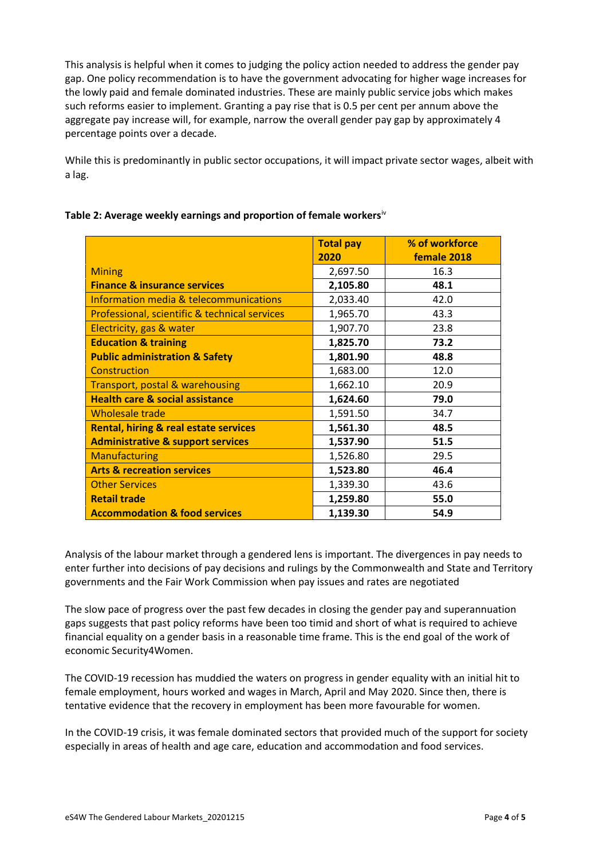This analysis is helpful when it comes to judging the policy action needed to address the gender pay gap. One policy recommendation is to have the government advocating for higher wage increases for the lowly paid and female dominated industries. These are mainly public service jobs which makes such reforms easier to implement. Granting a pay rise that is 0.5 per cent per annum above the aggregate pay increase will, for example, narrow the overall gender pay gap by approximately 4 percentage points over a decade.

While this is predominantly in public sector occupations, it will impact private sector wages, albeit with a lag.

|                                                  | <b>Total pay</b> | % of workforce |
|--------------------------------------------------|------------------|----------------|
|                                                  | 2020             | female 2018    |
| <b>Mining</b>                                    | 2,697.50         | 16.3           |
| <b>Finance &amp; insurance services</b>          | 2,105.80         | 48.1           |
| Information media & telecommunications           | 2,033.40         | 42.0           |
| Professional, scientific & technical services    | 1,965.70         | 43.3           |
| Electricity, gas & water                         | 1,907.70         | 23.8           |
| <b>Education &amp; training</b>                  | 1,825.70         | 73.2           |
| <b>Public administration &amp; Safety</b>        | 1,801.90         | 48.8           |
| Construction                                     | 1,683.00         | 12.0           |
| Transport, postal & warehousing                  | 1,662.10         | 20.9           |
| <b>Health care &amp; social assistance</b>       | 1,624.60         | 79.0           |
| <b>Wholesale trade</b>                           | 1,591.50         | 34.7           |
| <b>Rental, hiring &amp; real estate services</b> | 1,561.30         | 48.5           |
| <b>Administrative &amp; support services</b>     | 1,537.90         | 51.5           |
| <b>Manufacturing</b>                             | 1,526.80         | 29.5           |
| <b>Arts &amp; recreation services</b>            | 1,523.80         | 46.4           |
| <b>Other Services</b>                            | 1,339.30         | 43.6           |
| <b>Retail trade</b>                              | 1,259.80         | 55.0           |
| <b>Accommodation &amp; food services</b>         | 1,139.30         | 54.9           |

#### **Table 2: Average weekly earnings and proportion of female workers**iv

Analysis of the labour market through a gendered lens is important. The divergences in pay needs to enter further into decisions of pay decisions and rulings by the Commonwealth and State and Territory governments and the Fair Work Commission when pay issues and rates are negotiated

The slow pace of progress over the past few decades in closing the gender pay and superannuation gaps suggests that past policy reforms have been too timid and short of what is required to achieve financial equality on a gender basis in a reasonable time frame. This is the end goal of the work of economic Security4Women.

The COVID-19 recession has muddied the waters on progress in gender equality with an initial hit to female employment, hours worked and wages in March, April and May 2020. Since then, there is tentative evidence that the recovery in employment has been more favourable for women.

In the COVID-19 crisis, it was female dominated sectors that provided much of the support for society especially in areas of health and age care, education and accommodation and food services.